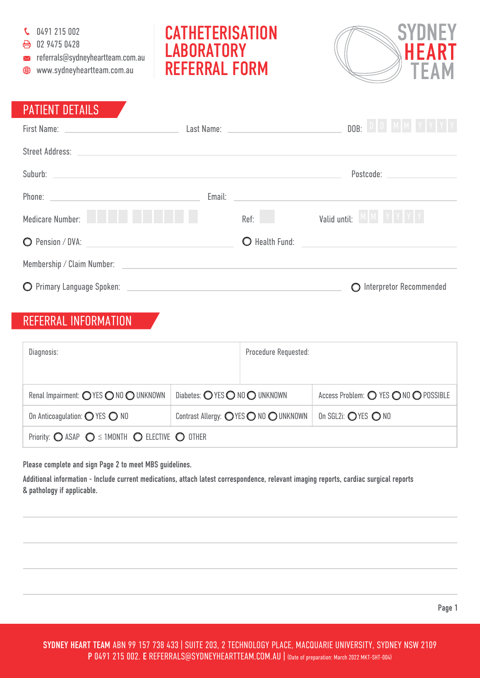C 0491 215 002

● 02 9475 0428

- $\mathbf{x}$  referrals@sydneyheartteam.com.au
- www.sydneyheartteam.com.au

## **CATHETERISATION LABORATORY** REFERRAL FORM



## PATIENT DETAILS

|                                                                                                                                                                                                                               |      | D   D   M   M   Y   Y   Y   Y<br>DOB: |
|-------------------------------------------------------------------------------------------------------------------------------------------------------------------------------------------------------------------------------|------|---------------------------------------|
|                                                                                                                                                                                                                               |      |                                       |
| Suburb: contract the contract of the contract of the contract of the contract of the contract of the contract of the contract of the contract of the contract of the contract of the contract of the contract of the contract |      | Postcode: _______________             |
|                                                                                                                                                                                                                               |      |                                       |
| and the state<br>Medicare Number:                                                                                                                                                                                             | Ref: | MMYYYY<br>Valid until:                |
|                                                                                                                                                                                                                               |      | O Health Fund:                        |
| Membership / Claim Number: New York Chain State And The Chain State And The Chain State And The Chain State And The Chain State And The Chain State And The Chain State And The Chain State And The Chain State And The Chain |      |                                       |
|                                                                                                                                                                                                                               |      | O Interpretor Recommended             |

## REFERRAL INFORMATION

| Diagnosis:                                                                              |                                       | Procedure Requested: |                                      |  |
|-----------------------------------------------------------------------------------------|---------------------------------------|----------------------|--------------------------------------|--|
|                                                                                         |                                       |                      |                                      |  |
| Renal Impairment: O YES O NO O UNKNOWN                                                  | Diabetes: O YES O NO O UNKNOWN        |                      | Access Problem: O YES ONO O POSSIBLE |  |
| On Anticoagulation: $\bigcirc$ YES $\bigcirc$ NO                                        | Contrast Allergy: OYES O NO O UNKNOWN |                      | On SGL2i: OYES ONO                   |  |
| Priority: $\bigcirc$ ASAP $\bigcirc$ $\leq$ 1MONTH $\bigcirc$ ELECTIVE $\bigcirc$ OTHER |                                       |                      |                                      |  |

Please complete and sign Page 2 to meet MBS guidelines.

Additional information - Include current medications, attach latest correspondence, relevant imaging reports, cardiac surgical reports & pathology if applicable.